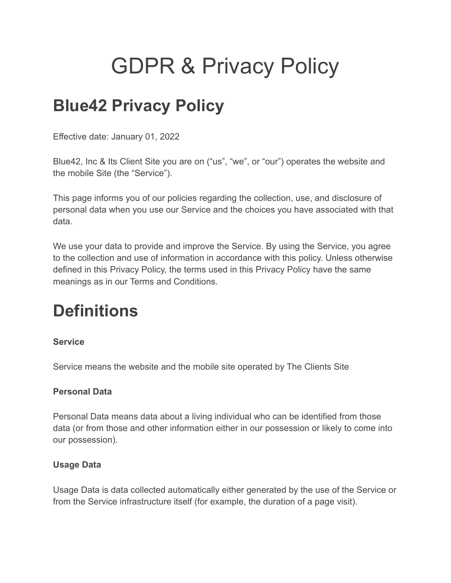# GDPR & Privacy Policy

# **Blue42 Privacy Policy**

Effective date: January 01, 2022

Blue42, Inc & Its Client Site you are on ("us", "we", or "our") operates the website and the mobile Site (the "Service").

This page informs you of our policies regarding the collection, use, and disclosure of personal data when you use our Service and the choices you have associated with that data.

We use your data to provide and improve the Service. By using the Service, you agree to the collection and use of information in accordance with this policy. Unless otherwise defined in this Privacy Policy, the terms used in this Privacy Policy have the same meanings as in our Terms and Conditions.

# **Definitions**

### **Service**

Service means the website and the mobile site operated by The Clients Site

### **Personal Data**

Personal Data means data about a living individual who can be identified from those data (or from those and other information either in our possession or likely to come into our possession).

### **Usage Data**

Usage Data is data collected automatically either generated by the use of the Service or from the Service infrastructure itself (for example, the duration of a page visit).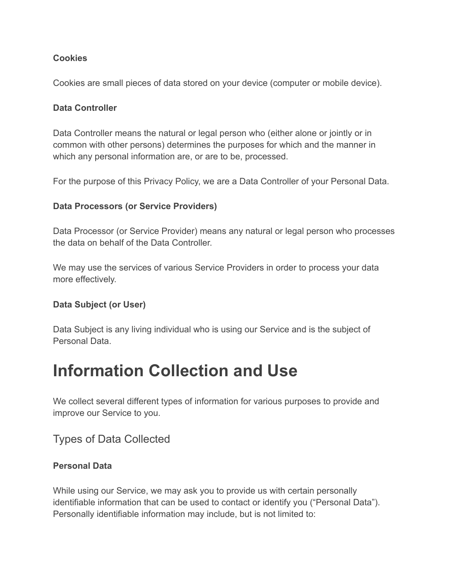### **Cookies**

Cookies are small pieces of data stored on your device (computer or mobile device).

### **Data Controller**

Data Controller means the natural or legal person who (either alone or jointly or in common with other persons) determines the purposes for which and the manner in which any personal information are, or are to be, processed.

For the purpose of this Privacy Policy, we are a Data Controller of your Personal Data.

### **Data Processors (or Service Providers)**

Data Processor (or Service Provider) means any natural or legal person who processes the data on behalf of the Data Controller.

We may use the services of various Service Providers in order to process your data more effectively.

### **Data Subject (or User)**

Data Subject is any living individual who is using our Service and is the subject of Personal Data.

### **Information Collection and Use**

We collect several different types of information for various purposes to provide and improve our Service to you.

### Types of Data Collected

### **Personal Data**

While using our Service, we may ask you to provide us with certain personally identifiable information that can be used to contact or identify you ("Personal Data"). Personally identifiable information may include, but is not limited to: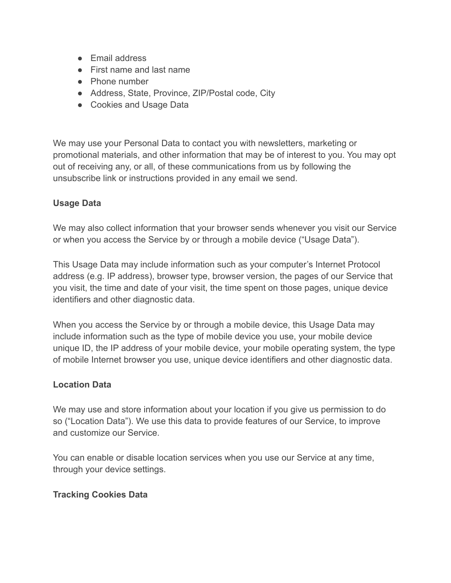- Email address
- First name and last name
- Phone number
- Address, State, Province, ZIP/Postal code, City
- Cookies and Usage Data

We may use your Personal Data to contact you with newsletters, marketing or promotional materials, and other information that may be of interest to you. You may opt out of receiving any, or all, of these communications from us by following the unsubscribe link or instructions provided in any email we send.

### **Usage Data**

We may also collect information that your browser sends whenever you visit our Service or when you access the Service by or through a mobile device ("Usage Data").

This Usage Data may include information such as your computer's Internet Protocol address (e.g. IP address), browser type, browser version, the pages of our Service that you visit, the time and date of your visit, the time spent on those pages, unique device identifiers and other diagnostic data.

When you access the Service by or through a mobile device, this Usage Data may include information such as the type of mobile device you use, your mobile device unique ID, the IP address of your mobile device, your mobile operating system, the type of mobile Internet browser you use, unique device identifiers and other diagnostic data.

### **Location Data**

We may use and store information about your location if you give us permission to do so ("Location Data"). We use this data to provide features of our Service, to improve and customize our Service.

You can enable or disable location services when you use our Service at any time, through your device settings.

### **Tracking Cookies Data**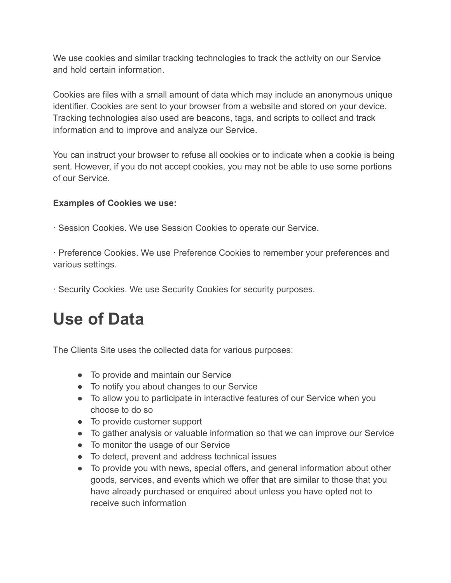We use cookies and similar tracking technologies to track the activity on our Service and hold certain information.

Cookies are files with a small amount of data which may include an anonymous unique identifier. Cookies are sent to your browser from a website and stored on your device. Tracking technologies also used are beacons, tags, and scripts to collect and track information and to improve and analyze our Service.

You can instruct your browser to refuse all cookies or to indicate when a cookie is being sent. However, if you do not accept cookies, you may not be able to use some portions of our Service.

### **Examples of Cookies we use:**

· Session Cookies. We use Session Cookies to operate our Service.

· Preference Cookies. We use Preference Cookies to remember your preferences and various settings.

· Security Cookies. We use Security Cookies for security purposes.

### **Use of Data**

The Clients Site uses the collected data for various purposes:

- To provide and maintain our Service
- To notify you about changes to our Service
- To allow you to participate in interactive features of our Service when you choose to do so
- To provide customer support
- To gather analysis or valuable information so that we can improve our Service
- To monitor the usage of our Service
- To detect, prevent and address technical issues
- To provide you with news, special offers, and general information about other goods, services, and events which we offer that are similar to those that you have already purchased or enquired about unless you have opted not to receive such information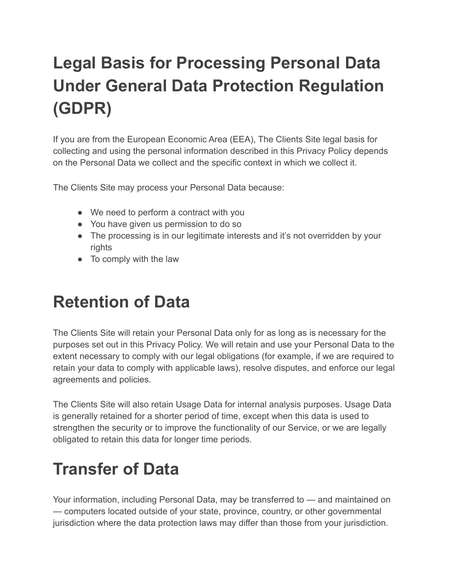# **Legal Basis for Processing Personal Data Under General Data Protection Regulation (GDPR)**

If you are from the European Economic Area (EEA), The Clients Site legal basis for collecting and using the personal information described in this Privacy Policy depends on the Personal Data we collect and the specific context in which we collect it.

The Clients Site may process your Personal Data because:

- We need to perform a contract with you
- You have given us permission to do so
- The processing is in our legitimate interests and it's not overridden by your rights
- To comply with the law

### **Retention of Data**

The Clients Site will retain your Personal Data only for as long as is necessary for the purposes set out in this Privacy Policy. We will retain and use your Personal Data to the extent necessary to comply with our legal obligations (for example, if we are required to retain your data to comply with applicable laws), resolve disputes, and enforce our legal agreements and policies.

The Clients Site will also retain Usage Data for internal analysis purposes. Usage Data is generally retained for a shorter period of time, except when this data is used to strengthen the security or to improve the functionality of our Service, or we are legally obligated to retain this data for longer time periods.

# **Transfer of Data**

Your information, including Personal Data, may be transferred to — and maintained on — computers located outside of your state, province, country, or other governmental jurisdiction where the data protection laws may differ than those from your jurisdiction.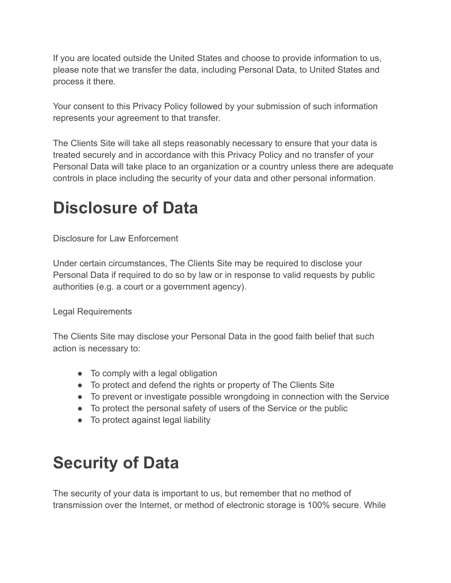If you are located outside the United States and choose to provide information to us, please note that we transfer the data, including Personal Data, to United States and process it there.

Your consent to this Privacy Policy followed by your submission of such information represents your agreement to that transfer.

The Clients Site will take all steps reasonably necessary to ensure that your data is treated securely and in accordance with this Privacy Policy and no transfer of your Personal Data will take place to an organization or a country unless there are adequate controls in place including the security of your data and other personal information.

## **Disclosure of Data**

Disclosure for Law Enforcement

Under certain circumstances, The Clients Site may be required to disclose your Personal Data if required to do so by law or in response to valid requests by public authorities (e.g. a court or a government agency).

Legal Requirements

The Clients Site may disclose your Personal Data in the good faith belief that such action is necessary to:

- To comply with a legal obligation
- To protect and defend the rights or property of The Clients Site
- To prevent or investigate possible wrongdoing in connection with the Service
- To protect the personal safety of users of the Service or the public
- To protect against legal liability

# **Security of Data**

The security of your data is important to us, but remember that no method of transmission over the Internet, or method of electronic storage is 100% secure. While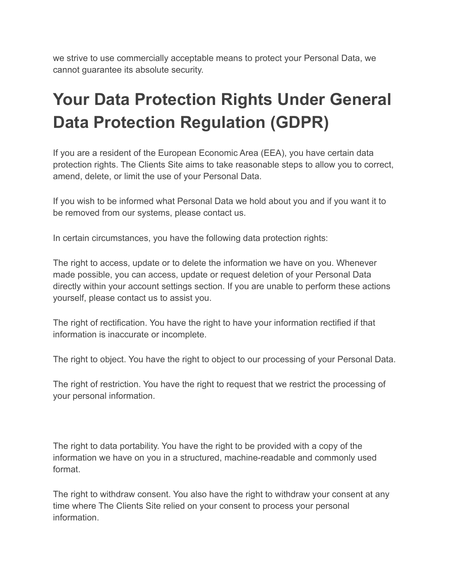we strive to use commercially acceptable means to protect your Personal Data, we cannot guarantee its absolute security.

# **Your Data Protection Rights Under General Data Protection Regulation (GDPR)**

If you are a resident of the European Economic Area (EEA), you have certain data protection rights. The Clients Site aims to take reasonable steps to allow you to correct, amend, delete, or limit the use of your Personal Data.

If you wish to be informed what Personal Data we hold about you and if you want it to be removed from our systems, please contact us.

In certain circumstances, you have the following data protection rights:

The right to access, update or to delete the information we have on you. Whenever made possible, you can access, update or request deletion of your Personal Data directly within your account settings section. If you are unable to perform these actions yourself, please contact us to assist you.

The right of rectification. You have the right to have your information rectified if that information is inaccurate or incomplete.

The right to object. You have the right to object to our processing of your Personal Data.

The right of restriction. You have the right to request that we restrict the processing of your personal information.

The right to data portability. You have the right to be provided with a copy of the information we have on you in a structured, machine-readable and commonly used format.

The right to withdraw consent. You also have the right to withdraw your consent at any time where The Clients Site relied on your consent to process your personal information.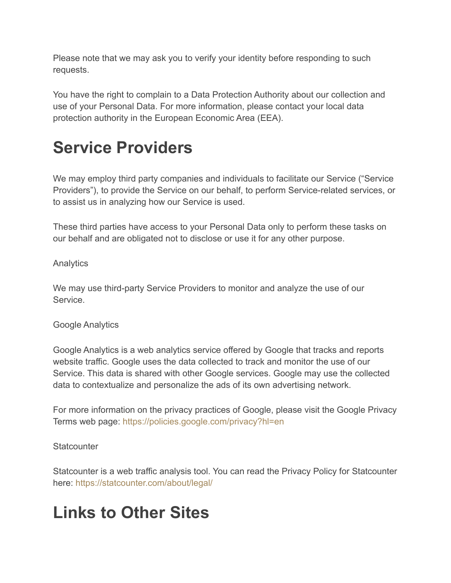Please note that we may ask you to verify your identity before responding to such requests.

You have the right to complain to a Data Protection Authority about our collection and use of your Personal Data. For more information, please contact your local data protection authority in the European Economic Area (EEA).

# **Service Providers**

We may employ third party companies and individuals to facilitate our Service ("Service Providers"), to provide the Service on our behalf, to perform Service-related services, or to assist us in analyzing how our Service is used.

These third parties have access to your Personal Data only to perform these tasks on our behalf and are obligated not to disclose or use it for any other purpose.

### Analytics

We may use third-party Service Providers to monitor and analyze the use of our Service.

### Google Analytics

Google Analytics is a web analytics service offered by Google that tracks and reports website traffic. Google uses the data collected to track and monitor the use of our Service. This data is shared with other Google services. Google may use the collected data to contextualize and personalize the ads of its own advertising network.

For more information on the privacy practices of Google, please visit the Google Privacy Terms web page: <https://policies.google.com/privacy?hl=en>

### **Statcounter**

Statcounter is a web traffic analysis tool. You can read the Privacy Policy for Statcounter here: <https://statcounter.com/about/legal/>

### **Links to Other Sites**